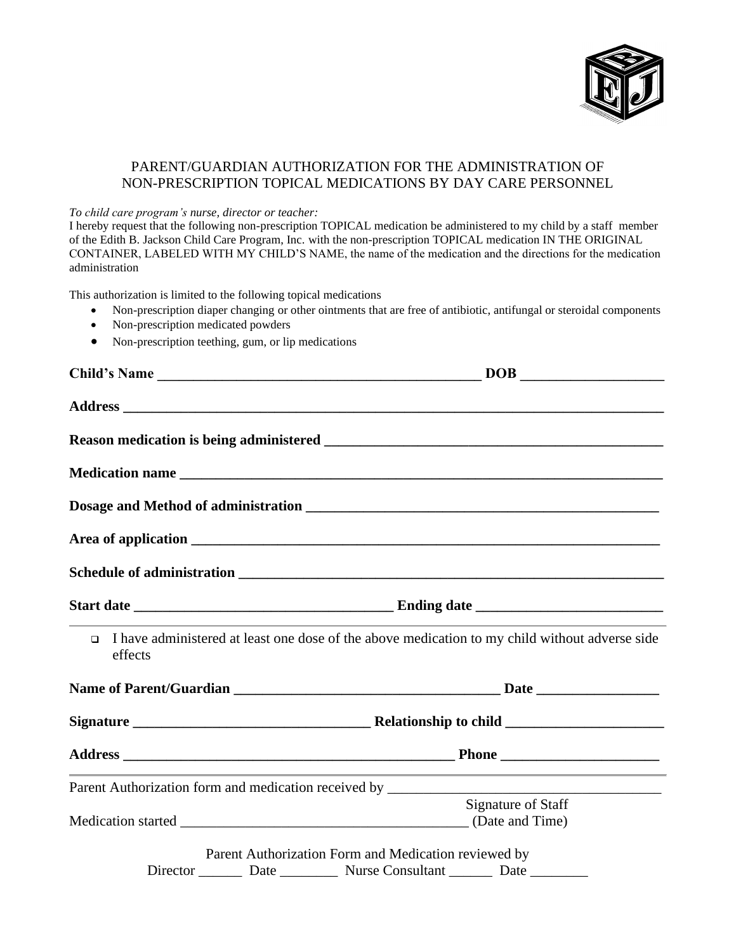

## PARENT/GUARDIAN AUTHORIZATION FOR THE ADMINISTRATION OF NON-PRESCRIPTION TOPICAL MEDICATIONS BY DAY CARE PERSONNEL

## *To child care program's nurse, director or teacher:*

I hereby request that the following non-prescription TOPICAL medication be administered to my child by a staff member of the Edith B. Jackson Child Care Program, Inc. with the non-prescription TOPICAL medication IN THE ORIGINAL CONTAINER, LABELED WITH MY CHILD'S NAME, the name of the medication and the directions for the medication administration

This authorization is limited to the following topical medications

- Non-prescription diaper changing or other ointments that are free of antibiotic, antifungal or steroidal components
- Non-prescription medicated powders
- Non-prescription teething, gum, or lip medications

| Child's Name |                                                                                                                  |  |
|--------------|------------------------------------------------------------------------------------------------------------------|--|
|              |                                                                                                                  |  |
|              |                                                                                                                  |  |
|              |                                                                                                                  |  |
|              |                                                                                                                  |  |
|              |                                                                                                                  |  |
|              |                                                                                                                  |  |
|              |                                                                                                                  |  |
| effects      | $\Box$ I have administered at least one dose of the above medication to my child without adverse side            |  |
|              |                                                                                                                  |  |
|              |                                                                                                                  |  |
|              |                                                                                                                  |  |
|              | and the control of the control of the control of the control of the control of the control of the control of the |  |
|              | Signature of Staff                                                                                               |  |
|              | Parent Authorization Form and Medication reviewed by                                                             |  |
|              | Director _________ Date ____________ Nurse Consultant ________ Date ___________                                  |  |